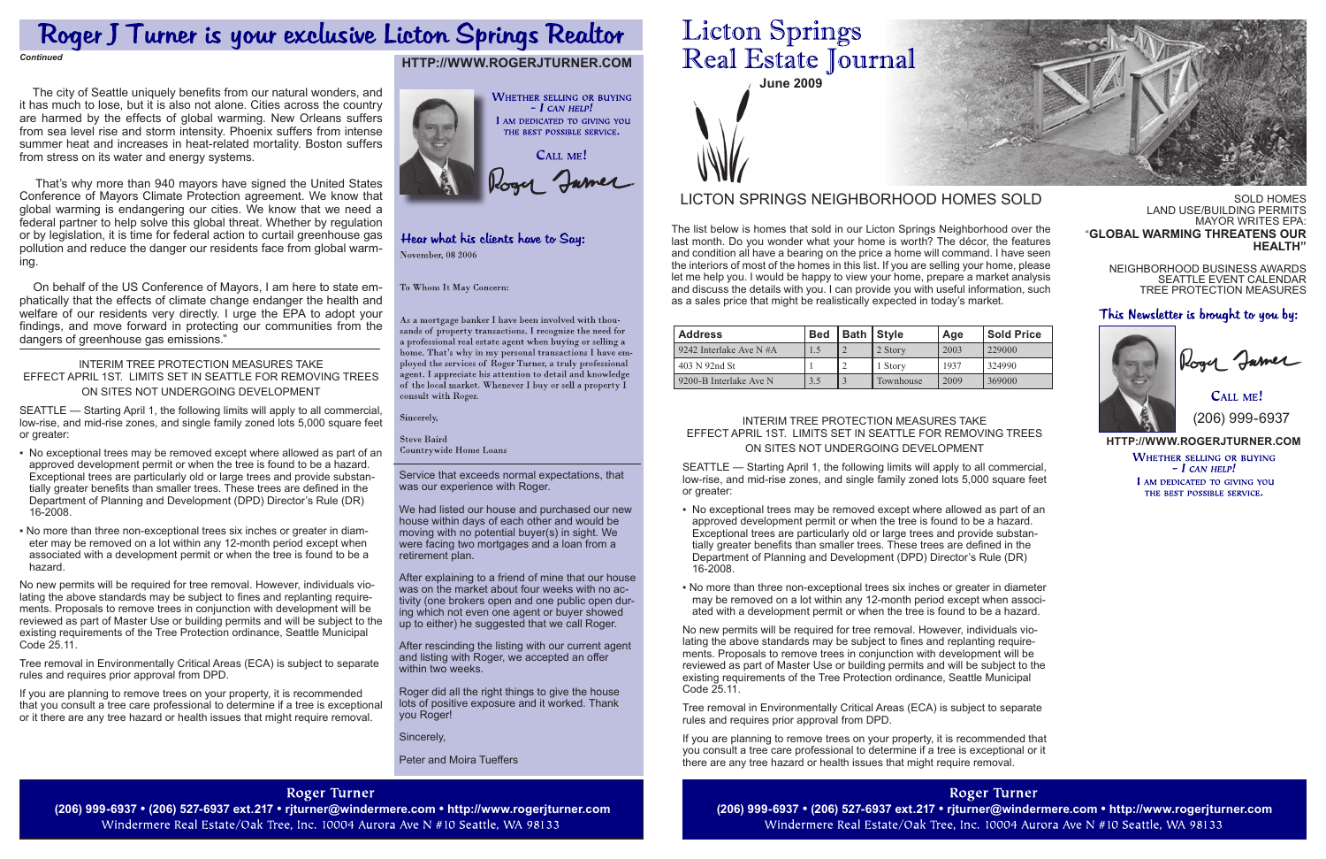

Service that exceeds normal expectations, that was our experience with Roger.

We had listed our house and purchased our new house within days of each other and would be moving with no potential buyer(s) in sight. We were facing two mortgages and a loan from a retirement plan.

After explaining to a friend of mine that our house was on the market about four weeks with no activity (one brokers open and one public open during which not even one agent or buyer showed up to either) he suggested that we call Roger.

CALL ME! (206) 999-6937

After rescinding the listing with our current agent and listing with Roger, we accepted an offer within two weeks.

Roger did all the right things to give the house lots of positive exposure and it worked. Thank you Roger!

Sincerely,

Peter and Moira Tueffers

### **Roger Turner**

(206) 999-6937 • (206) 527-6937 ext.217 • rjturner@windermere.com • http://www.rogerjturner.com (206) 999-6937 • (206) 999-6937 • (206) 527-6937 ext.217 • rjturner@windermere.com • http://www.rogerjturner.com (206) 999-693 Windermere Real Estate/Oak Tree, Inc. 10004 Aurora Ave N #10 Seattle, WA 98133

# **Licton Springs** Real Estate Journal

#### **http://www.rogerjturner.com**

**WHETHER SELLING OR BUYING**  $- I$  CAN HELP! I AM DEDICATED TO GIVING YOU THE BEST POSSIBLE SERVICE.

# **http://www.rogerjturner.com**



### Hear what his clients have to Say: November, 08 2006

#### To Whom It May Concern:

As a mortgage banker I have been involved with thousands of property transactions. I recognize the need for a professional real estate agent when buying or selling a home. That's why in my personal transactions I have employed the services of Roger Turner, a truly professional agent. I appreciate his attention to detail and knowledge of the local market. Whenever I buy or sell a property  $\check{\mathrm{I}}$ consult with Roger.

Sincerely,

**Steve Baird Countrywide Home Loans** 

# Roger J Turner is your exclusive Licton Springs Realtor

*Continued*

Sold Homes Land Use/Building Permits MAYOR WRITES EPA: "**Global warming threatens our health"**

Neighborhood Business Awards Seattle Event Calendar Tree Protection Measures

#### This Newsletter is brought to you by:



| <b>Address</b>            | <b>Bed</b> | Bath   Style | Age  | <b>Sold Price</b> |
|---------------------------|------------|--------------|------|-------------------|
| 9242 Interlake Ave N $#A$ |            | 2 Story      | 2003 | 229000            |
| 403 N 92nd St             |            | 1 Story      | 1937 | 324990            |
| 9200-B Interlake Ave N    |            | Townhouse    | 2009 | 369000            |

The list below is homes that sold in our Licton Springs Neighborhood over the last month. Do you wonder what your home is worth? The décor, the features and condition all have a bearing on the price a home will command. I have seen the interiors of most of the homes in this list. If you are selling your home, please let me help you. I would be happy to view your home, prepare a market analysis and discuss the details with you. I can provide you with useful information, such as a sales price that might be realistically expected in today's market.

## LICTON SPRINGS NEIGHBORHOOD HOMES SOLD

#### Interim Tree Protection Measures Take Effect April 1st. Limits set in Seattle for removing trees on sites not undergoing development

SEATTLE — Starting April 1, the following limits will apply to all commercial, low-rise, and mid-rise zones, and single family zoned lots 5,000 square feet or greater:

- No exceptional trees may be removed except where allowed as part of an approved development permit or when the tree is found to be a hazard. Exceptional trees are particularly old or large trees and provide substantially greater benefits than smaller trees. These trees are defined in the Department of Planning and Development (DPD) Director's Rule (DR) 16-2008.
- No more than three non-exceptional trees six inches or greater in diameter may be removed on a lot within any 12-month period except when associated with a development permit or when the tree is found to be a hazard.

No new permits will be required for tree removal. However, individuals violating the above standards may be subject to fines and replanting requirements. Proposals to remove trees in conjunction with development will be reviewed as part of Master Use or building permits and will be subject to the existing requirements of the Tree Protection ordinance, Seattle Municipal Code 25.11.

Tree removal in Environmentally Critical Areas (ECA) is subject to separate rules and requires prior approval from DPD.

If you are planning to remove trees on your property, it is recommended that you consult a tree care professional to determine if a tree is exceptional or it there are any tree hazard or health issues that might require removal.

Roger Turner Windermere Real Estate/Oak Tree, Inc. 10004 Aurora Ave N #10 Seattle, WA 98133



 The city of Seattle uniquely benefits from our natural wonders, and it has much to lose, but it is also not alone. Cities across the country are harmed by the effects of global warming. New Orleans suffers from sea level rise and storm intensity. Phoenix suffers from intense summer heat and increases in heat-related mortality. Boston suffers from stress on its water and energy systems.

 That's why more than 940 mayors have signed the United States Conference of Mayors Climate Protection agreement. We know that global warming is endangering our cities. We know that we need a federal partner to help solve this global threat. Whether by regulation or by legislation, it is time for federal action to curtail greenhouse gas pollution and reduce the danger our residents face from global warming.

 On behalf of the US Conference of Mayors, I am here to state emphatically that the effects of climate change endanger the health and welfare of our residents very directly. I urge the EPA to adopt your findings, and move forward in protecting our communities from the dangers of greenhouse gas emissions."

#### Interim Tree Protection Measures Take Effect April 1st. Limits set in Seattle for removing trees on sites not undergoing development

SEATTLE — Starting April 1, the following limits will apply to all commercial, low-rise, and mid-rise zones, and single family zoned lots 5,000 square feet or greater:

- No exceptional trees may be removed except where allowed as part of an approved development permit or when the tree is found to be a hazard. Exceptional trees are particularly old or large trees and provide substantially greater benefits than smaller trees. These trees are defined in the Department of Planning and Development (DPD) Director's Rule (DR) 16-2008.
- No more than three non-exceptional trees six inches or greater in diameter may be removed on a lot within any 12-month period except when associated with a development permit or when the tree is found to be a hazard.

No new permits will be required for tree removal. However, individuals violating the above standards may be subject to fines and replanting requirements. Proposals to remove trees in conjunction with development will be reviewed as part of Master Use or building permits and will be subject to the existing requirements of the Tree Protection ordinance, Seattle Municipal Code 25.11.

Tree removal in Environmentally Critical Areas (ECA) is subject to separate rules and requires prior approval from DPD.

If you are planning to remove trees on your property, it is recommended that you consult a tree care professional to determine if a tree is exceptional or it there are any tree hazard or health issues that might require removal.